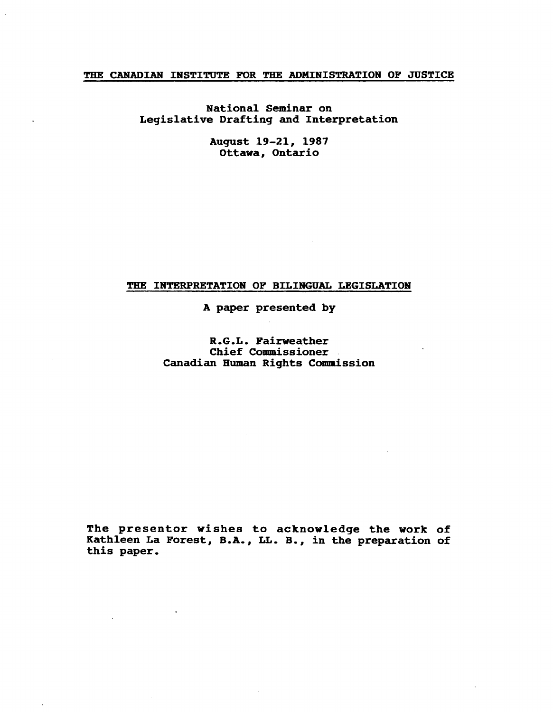#### THE CANADIAN INSTITUTE FOR THE ADMINISTRATION OF JUSTICE

National Seminar on Legislative Drafting and Interpretation

> August 19-21, 1987 Ottawa, Ontario

#### THE INTERPRETATION OF BILINGUAL LEGISLATION

### A paper presented by

R.G.L. Fairweather Chief Commissioner Canadian Human Rights Commission

The presentor wishes to acknowledge the work of Kathleen La Forest, B.A., LL. B., in the preparation of this paper.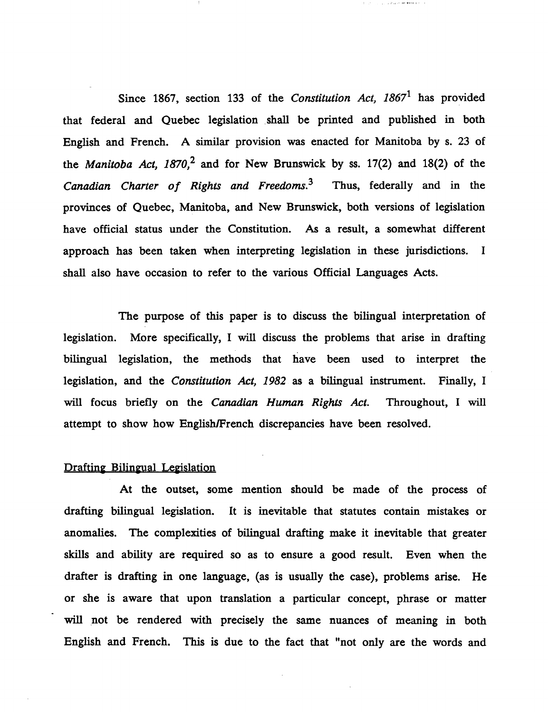Since 1867, section 133 of the *Constitution Act*, 1867<sup>1</sup> has provided that federal and Quebec legislation .shall be printed and published in both English and French. A similar provision was enacted for Manitoba by s. 23 of the *Manitoba Act, 1870*<sup>2</sup> and for New Brunswick by ss. 17(2) and 18(2) of the *Canadian Charter of Rights and Freedoms.*3 Thus, federally and in the provinces of Quebec, Manitoba, and New Brunswick, both versions of legislation have official status under the Constitution. As a result, a somewhat different approach has been taken when interpreting legislation in these jurisdictions. I shall also have occasion to refer to the various Official Languages Acts.

The contract of the water and

The purpose of this paper is to discuss the bilingual interpretation of legislation. More specifically, I will discuss the problems that arise in drafting bilingual legislation, the methods that have been used to interpret the legislation, and the *Constitution Act,* 1982 as a bilingual instrument. Finally, I will focus briefly on the *Canadian Human Rights Act.* Throughout, I will attempt to show how English/French discrepancies have been resolved.

# Drafting Bilingual Legislation

At the outset, some mention should be made of the process of drafting bilingual legislation. It is inevitable that statutes contain mistakes or anomalies. The complexities of bilingual drafting make it inevitable that greater skills and ability are required so as to ensure a good result. Even when the drafter is drafting in one language, (as is usually the case), problems arise. He or she is aware that upon translation a particular concept, phrase or matter will not be rendered with precisely the same nuances of meaning in both English and French. This is due to the fact that "not only are the words and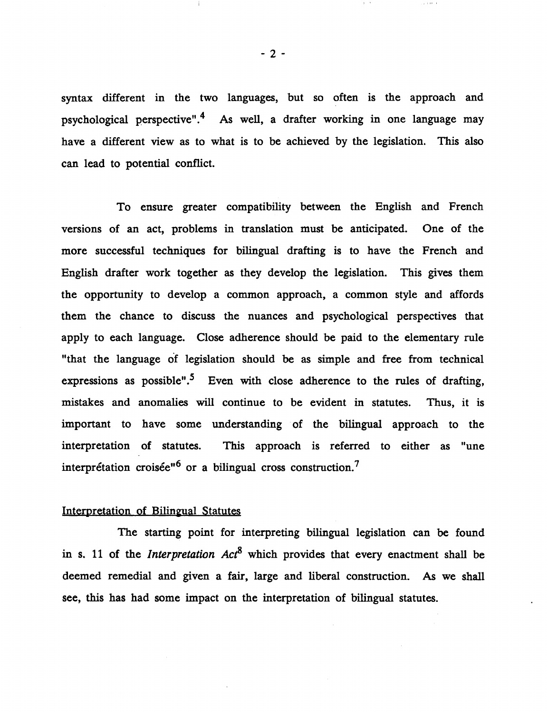syntax different in the two languages, but so often is the approach and psychological perspective".<sup>4</sup> As well, a drafter working in one language may have a different view as to what is to be achieved by the legislation. This also can lead to potential conflict.

To ensure greater compatibility between the English and French versions of an act, problems in translation must be anticipated. One of the more successful techniques for bilingual drafting is to have the French and English drafter work together as they develop the legislation. This gives them the opportunity to develop a common approach, a common style and affords them the chance to discuss the nuances and psychological perspectives that apply to each language. Close adherence should be paid to the elementary rule "that the language of legislation should be as simple and free from technical expressions as possible".<sup>5</sup> Even with close adherence to the rules of drafting, mistakes and anomalies will continue to be evident in statutes. Thus, it is important to have some understanding of the bilingual approach to the interpretation of statutes. This approach is referred to either as "une interprétation croisée<sup>16</sup> or a bilingual cross construction.<sup>7</sup>

## Interpretation of Bilingual Statutes

The starting point for interpreting bilingual legislation can be found in s. 11 of the *Interpretation ActS* which provides that every enactment shall be deemed remedial and given a fair, large and liberal construction. As we shall see, this has had some impact on the interpretation of bilingual statutes.

 $-2-$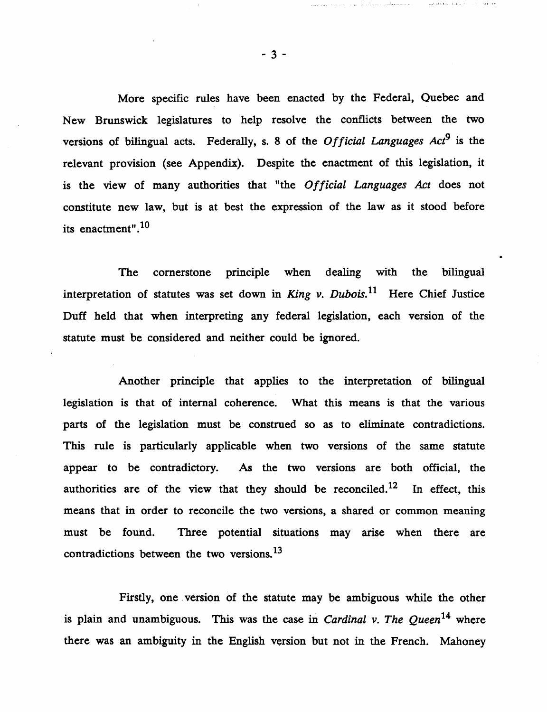More specific rules have been enacted by the Federal, Quebec and New Brunswick legislatures to help resolve the conflicts between the two versions of bilingual acts. Federally, s. 8 of the *Official Languages Act*9 is the relevant provision (see Appendix). Despite the enactment of this legislation, it is the view of many authorities that "the *Official Languages Act* does not constitute new law, but is at best the expression of the law as it stood before its enactment" .10

The cornerstone principle when dealing with the bilingual interpretation of statutes was set down in *King v. Dubois.*11 Here Chief Justice Duff held that when interpreting any federal legislation, each version of the statute must be considered and neither could be ignored.

Another principle that applies to the interpretation of bilingual legislation is that of internal coherence. What this means is that the various parts of the legislation must be construed so as to eliminate contradictions. This rule is particularly applicable when two versions of the same statute appear to be contradictory. As the two versions are both official, the authorities are of the view that they should be reconciled.<sup>12</sup> In effect, this means that in order to reconcile the two versions, a shared or common meaning must be found. Three potential situations may arise when there are contradictions between the two versions.13

Firstly, one version of the statute may be ambiguous while the other is plain and unambiguous. This was the case in *Cardinal v. The Queen*<sup>14</sup> where there was an ambiguity in the English version but not in the French. Mahoney

 $-3 -$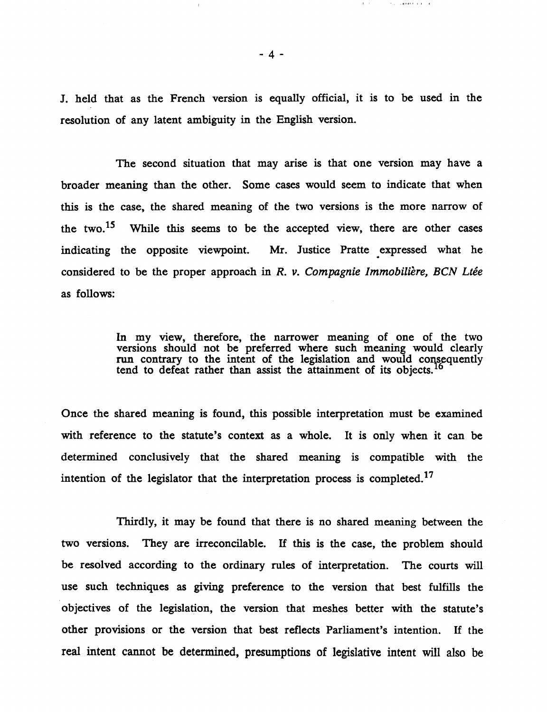J. held that as the French version is equally official, it is to be used in the resolution of any latent ambiguity in the English version.

The second situation that may arise is that one version may have a broader meaning than the other. Some cases would seem to indicate that when this is the case, the shared meaning of the two versions is the more narrow of the two.<sup>15</sup> While this seems to be the accepted view, there are other cases indicating the opposite viewpoint. Mr. Justice Pratte expressed what he considered to be the proper approach in *R. v. Compagnie Immobiliere, BCN Ltee*  as follows:

> In my view, therefore, the narrower meaning of one of the two versions should not be preferred where such meaning would clearly run contrary to the intent of the legislation and would consequently tend to defeat rather than assist the attainment of its objects.

Once the shared meaning is found, this possible interpretation must be examined with reference to the statute's context as a whole. It is only when it can be determined conclusively that the shared meaning is compatible with the intention of the legislator that the interpretation process is completed.<sup>17</sup>

Thirdly, it may be found that there is no shared meaning between the two versions. They are irreconcilable. H this is the case, the problem should be resolved according to the ordinary rules of interpretation. The courts will use such techniques as giving preference to the version that best fulfills the objectives of the legislation, the version that meshes better with the statute's other provisions or the version that best reflects Parliament's intention. H the real intent cannot be determined, presumptions of legislative intent will also be

 $\bar{1}$ 

 $\mathbf{E} = \mathbf{E}$ 

 $\mathcal{F}(\mathbf{y})$  . The following contract  $\mathbf{y}$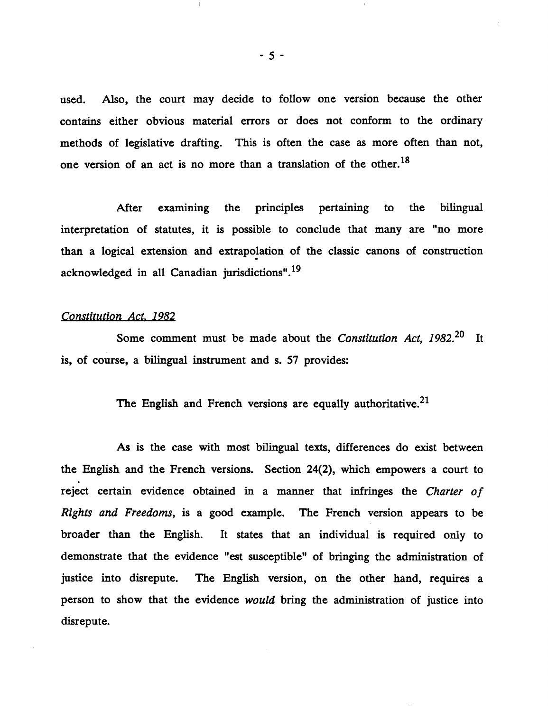used. Also, the court may decide to follow one version because the other contains either obvious material errors or does not conform to the ordinary methods of legislative drafting. This is often the case as more often than not, one version of an act is no more than a translation of the other.<sup>18</sup>

After examining the principles pertaining to the bilingual interpretation of statutes, it is possible to conclude that many are "no more than a logical extension and extrapolation of the classic canons of construction acknowledged in all Canadian jurisdictions".<sup>19</sup>

## *Constitution Act. 1982*

Some comment must be made about the *Constitution Act*, 1982.<sup>20</sup> It is, of course, a bilingual instrument and s. 57 provides:

The English and French versions are equally authoritative.<sup>21</sup>

As is the case with most bilingual texts, differences do exist between the English and the French versions. Section 24(2), which empowers a court to reject certain evidence obtained in a manner that infringes the *Charter of Rights and Freedoms,* is a good example. The French version appears to be broader than the English. It states that an individual is required only to demonstrate that the evidence "est susceptible" of bringing the administration of justice into disrepute. The English version, on the other hand, requires a person to show that the evidence *would* bring the administration of justice into disrepute.

 $\vert$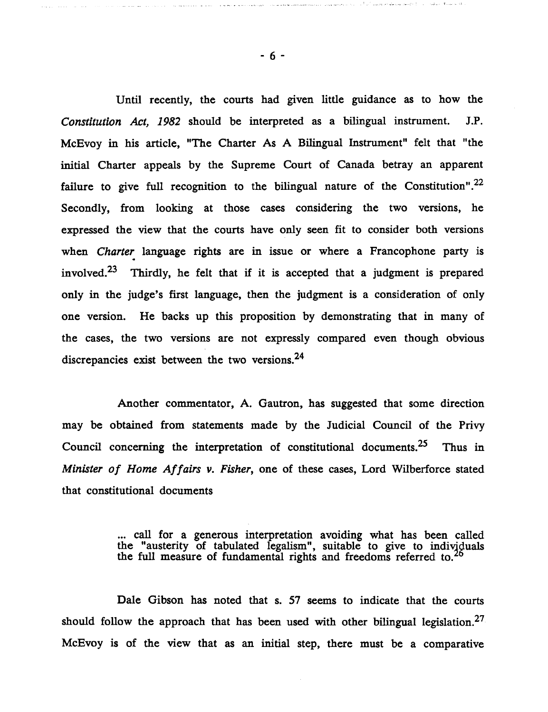Until recently, the courts had given little guidance as to how the *Constitution Act,* 1982 should be interpreted as a bilingual instrument. J.P. McEvoy in his article, "The Charter As A Bilingual Instrument" felt that "the initial Charter appeals by the Supreme Court of Canada betray an apparent failure to give full recognition to the bilingual nature of the Constitution".<sup>22</sup> Secondly, from looking at those cases considering the two versions, he expressed the view that the courts have only seen fit to consider both versions when *Charter* language rights are in issue or where a Francophone party is involved.<sup>23</sup> Thirdly, he felt that if it is accepted that a judgment is prepared only in the judge's first language, then the judgment is a consideration of only one version. He backs up this proposition by demonstrating that in many of the cases, the two versions are not expressly compared even though obvious discrepancies exist between the two versions.<sup>24</sup>

Another commentator, A. Gautron, has suggested that some direction may be obtained from statements made by the Judicial Council of the Privy Council concerning the interpretation of constitutional documents.<sup>25</sup> Thus in *Minister of Home Affairs v. Fisher*, one of these cases, Lord Wilberforce stated that constitutional documents

> ... call for a generous interpretation avoiding what has been called the "austerity of tabulated legalism", suitable to give to individuals the full measure of fundamental rights and freedoms referred to.

Dale Gibson has noted that s. 57 seems to indicate that the courts should follow the approach that has been used with other bilingual legislation.<sup>27</sup> McEvoy is of the view that as an initial step, there must be a comparative

 $-6 -$ 

 $\omega$  ,  $\omega$  ,  $\omega$  ,  $\omega$  ,  $\omega$  ,  $\omega$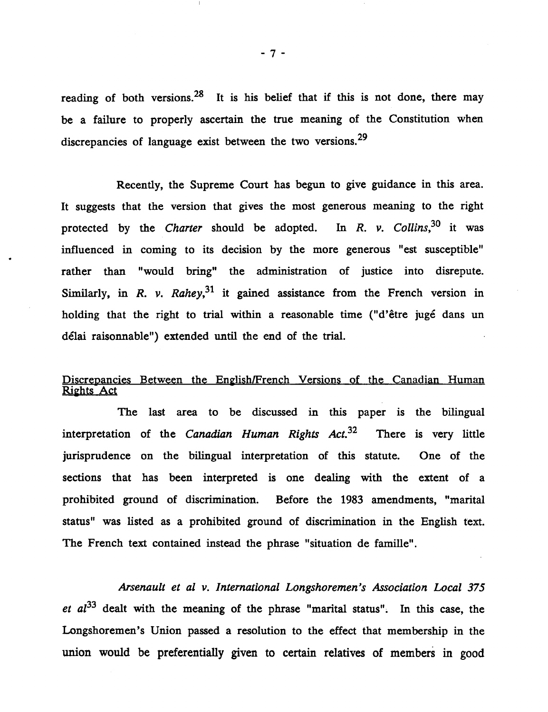reading of both versions. <sup>28</sup> It is his belief that if this is not done, there may be a failure to properly ascertain the true meaning of the Constitution when discrepancies of language exist between the two versions.<sup>29</sup>

Recently, the Supreme Court has begun to give guidance in this area. It suggests that the version that gives the most generous meaning to the right protected by the *Charter* should be adopted. In *R. v. COllins,30* it was influenced in coming to its decision by the more generous "est susceptible" rather than "would bring" the administration of justice into disrepute. Similarly, in *R. v. Rahey*,<sup>31</sup> it gained assistance from the French version in holding that the right to trial within a reasonable time ("d'être jugé dans un delai raisonnable") extended until the end of the trial.

# Discrepancies Between the English/French Versions of the Canadian Human Rights Act

The last area to be discussed in this paper is the bilingual interpretation of the *Canadian Human Rights Act.*32 There is very little jurisprudence on the bilingual interpretation of this statute. One of the sections that has been interpreted is one dealing with the extent of a prohibited ground of discrimination. Before the 1983 amendments, "marital status" was listed as a prohibited ground of discrimination in the English text. The French text contained instead the phrase "situation de famille".

*Arsenault et al v. International Longshoremen's Association Local* 375 *et al33* dealt with the meaning of the phrase "marital status". In this case, the Longshoremen's Union passed a resolution to the effect that membership in the union would be preferentially given to certain relatives of members in good

 $-7 -$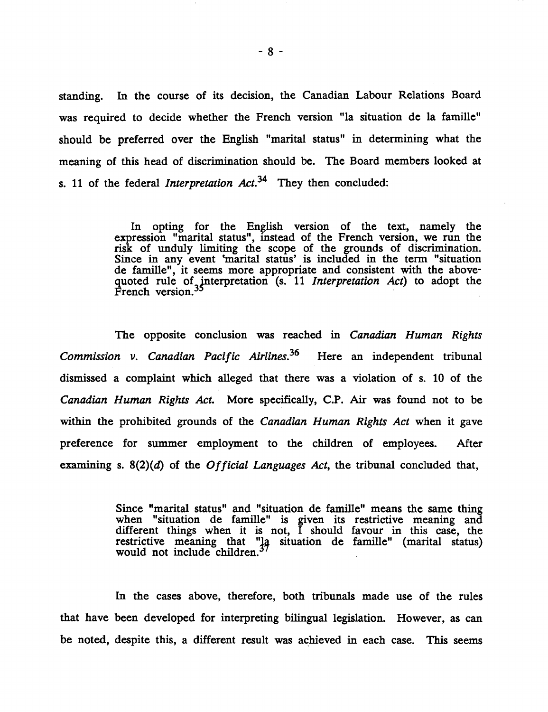standing. In the course of its decision, the Canadian Labour Relations Board was required to decide whether the French version "la situation de la famille" should be preferred over the English "marital status" in determining what the meaning of this head of discrimination should be. The Board members looked at s. 11 of the federal *Interpretation Act.* 34 They then concluded:

> In opting for the English version of the text, namely the expression "marital status", mstead of the French version, we run the risk of unduly limiting the scope of the grounds of discrimination. Since in any event 'marital status' is included in the term "situation de famille", it seems more appropriate and consistent with the abovequoted rule of<sub>2</sub>interpretation (s. 11 *Interpretation Act*) to adopt the French version.

The opposite conclusion was reached in *Canadian Human Rights Commission* v. *Canadian Pacific Airlines.36* Here an independent tribunal dismissed a complaint which alleged that there was a violation of s. 10 of the *Canadian Human Rights Act.* More specifically, C.P. Air was found not to be within the prohibited grounds of the *Canadian Human Rights Act* when it gave preference for summer employment to the children of employees. After examining s. *8(2)(d)* of the *Official Languages Act,* the tribunal concluded that,

> Since "marital status" and "situation de famille" means the same thing when "situation de famille" is given its restrictive meaning and different things when it is not, I should favour in this case, the restrictive meaning that " $1a$  situation de famille" (marital status) would not include children. $37$

In the cases above, therefore, both tribunals made use of the rules that have been developed for interpreting bilingual legislation. However, as can be noted, despite this, a different result was achieved in each case. This seems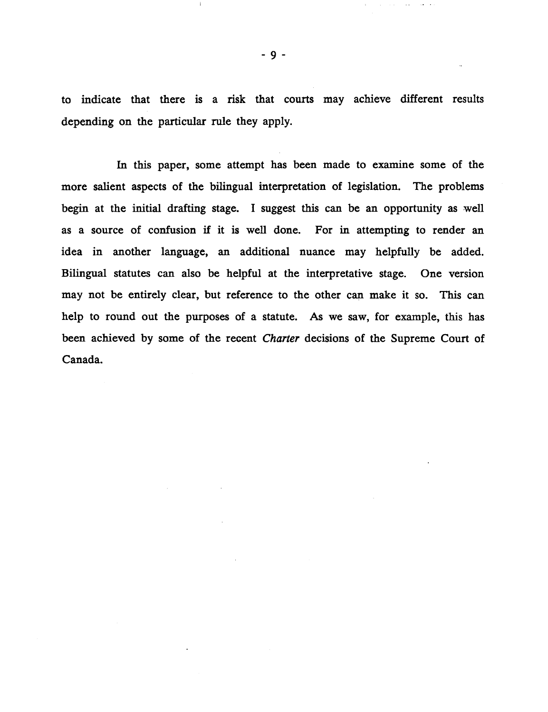to indicate that there is a risk that courts may achieve different results depending on the particular rule they apply.

In this paper, some attempt has been made to examine some of the more salient aspects of the bilingual interpretation of legislation. The problems begin at the initial drafting stage. I suggest this can be an opportunity as well as a source of confusion if it is well done. For in attempting to render an idea in another language, an additional nuance may helpfully be added. Bilingual statutes can also be helpful at the interpretative stage. One version may not be entirely clear, but reference to the other can make it so. This can help to round out the purposes of a statute. As we saw, for example, this has been achieved by some of the recent Charter decisions of the Supreme Court of Canada.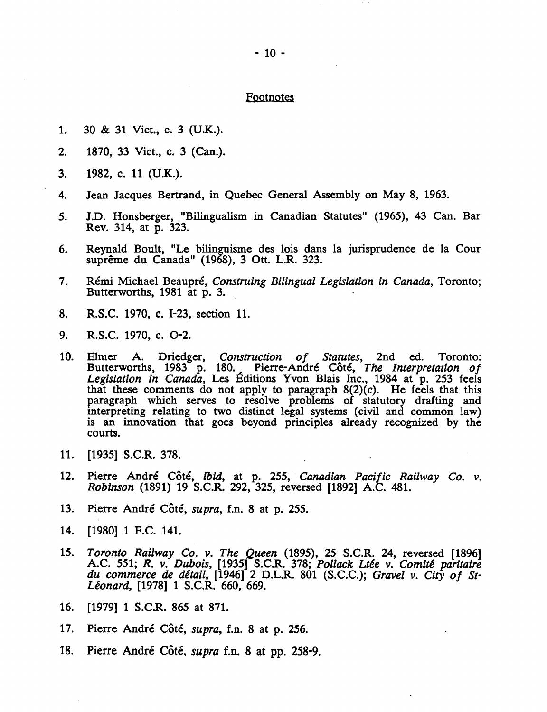#### Footnotes

- 1. 30 & 31 Vict., c. 3 (U.K.).
- 2. 1870, 33 Vict., c. 3 (Can.).
- 3. 1982, c. 11 (U.K.).
- 4. Jean Jacques Bertrand, in Quebec General Assembly on May 8, 1963.
- 5. J.D. Honsberger, "Bilingualism in Canadian Statutes" (1965), 43 Can. Bar Rev. 314, at p. 323.
- 6. Reynald Boult, "Le bilinguisme des lois dans la jurisprudence de la Cour suprême du Canada" (1968), 3 Ott. L.R. 323.
- 7. Remi Michael Beaupre, *Construing Bilingual Legislation in Canada,* Toronto; Butterworths, 1981 at p. 3.
- 8. R.S.C. 1970, c. 1-23, section 11.
- 9. R.S.C. 1970, c. 0-2.
- 10. Elmer A. Driedger, *Construction of Statutes,* 2nd ed. Toronto: Butterworths, 1983 p. 180. Pierre-Andre Cote, *The Interpretation* of Legislation in Canada, Les Éditions Yvon Blais Inc., 1984 at p. 253 feels that these comments do not apply to paragraph  $8(2)(c)$ . He feels that this paragraph which serves to resolve problems of statutory drafting and mterpreting relating to two distinct legal systems (civil and common law) is an innovation that goes beyond principles already recognized by the courts.
- 11. [1935] S.C.R. 378.
- 12. Pierre André Côté, *ibid*, at p. 255, *Canadian Pacific Railway Co. v. Robinson* (1891) 19 S.C.R. 292, 325, reversed [1892] A.C. 481.
- 13. Pierre Andre Cote, *supra,* f.n. 8 at p. 255.
- 14. [1980] 1 F.C. 141.
- 15. *Toronto Railway Co. v. The Queen* (1895), 25 S.C.R. 24, reversed [1896] A.C. 551; *R. v. Dubois,* [1935] S.C.R. 378; *Pollack Ltee v. Comite paritaire du commerce de detail,* [1946] 2 D.L.R. 801 (S.C.C.); *Gravel v. City of St-Leonard,* [1978] 1 S.C.R. 660, 669.
- 16. [1979] 1 S.C.R. 865 at 871.
- 17. Pierre Andre Cote, *supra,* f.n. 8 at p. 256.
- 18. Pierre Andre Cote, *supra* f.n. 8 at pp. 258-9.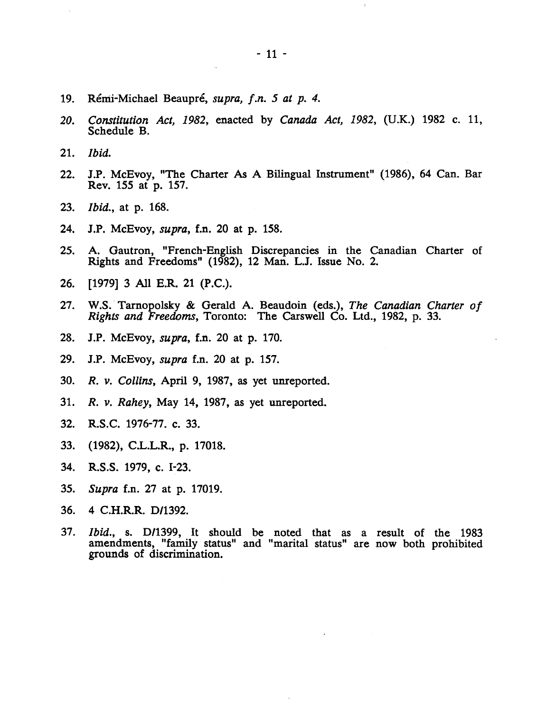- 19. Rémi-Michael Beaupré, *supra*, f.n. 5 at p. 4.
- *20. Constitution Act,* 1982, enacted by *Canada Act,* 1982, (U.K.) 1982 c. 11, Schedule B.
- 21. *Ibid.*
- 22. J.P. McEvoy, "The Charter As A Bilingual Instrument" (1986), 64 Can. Bar Rev. *155* at p. *157.*
- *23. Ibid.,* at p. 168.
- 24. J.P. McEvoy, *supra,* f.n. 20 at p. 158.
- 25. A. Gautron, "French-English Discrepancies in the Canadian Charter of Rights and Freedoms" (1982), 12 Man. L.J. Issue No.2.
- 26. [1979] 3 All E.R. 21 (P.C.).
- 27. W.S. Tarnopolsky & Gerald A. Beaudoin (eds.), *The Canadian Charter of Rights and Freedoms*, Toronto: The Carswell Co. Ltd., 1982, p. 33.
- 28. J.P. McEvoy, *supra,* f.n. 20 at p. 170.
- 29. J.P. McEvoy, *supra* f.n. 20 at p. 157.
- *30. R. v. Collins,* April 9, 1987, as yet unreported.
- 31. *R. v. Rahey,* May 14, 1987, as yet unreported.
- 32. R.S.C. 1976-77. c. 33.
- 33. (1982), C.L.L.R., p. 17018.
- 34. R.S.S. 1979, c. 1-23.
- *35. Supra* f.n. 27 at p. 17019.
- 36. 4 C.H.R.R. D/1392.
- *37. Ibid.,* s. *D/1399,* It should be noted that as a result of the 1983 amendments, "family status" and "marital status" are now both prohibited grounds of discrimination.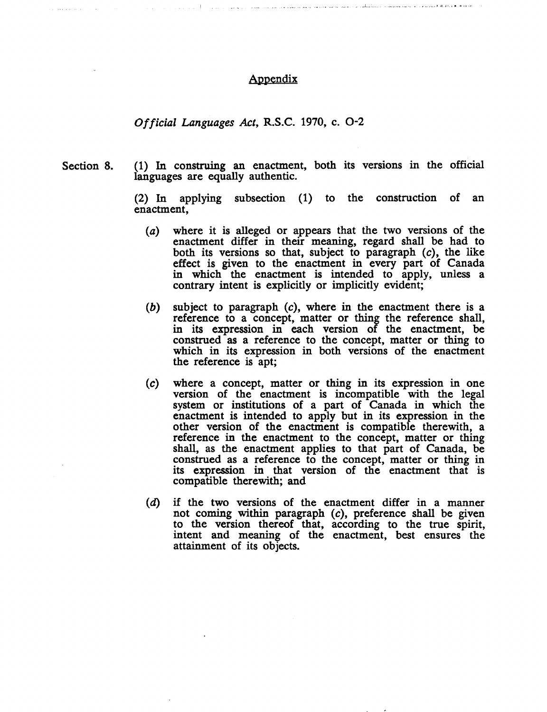## Appendix

*Official Languages Act,* R.S.C. 1970, c. 0-2

. . . . . . . . . . .

Section 8. (1) In construing an enactment, both its versions in the official languages are equally authentic.

> (2) In applying subsection (1) to the construction of an enactment,

• \_ ,\_•• \_ ••• \_\_•• \_" \_ > ...... ,",'. '\_••• \_L .•. ' ....• "\_",,," •..•-'" \_, '"... ,\_~J. <sup>U</sup>*l'.* i •. '11 ." '"

- $(a)$  where it is alleged or appears that the two versions of the enactment differ in their meaning, regard shall be had to both its versions so that, subject to paragraph  $(c)$ , the like effect is given to the enactment in every part of Canada in which the enactment is intended to apply, unless a contrary intent is explicitly or implicitly evident;
- $(b)$  subject to paragraph  $(c)$ , where in the enactment there is a reference to a concept, matter or thing the reference shall, in its expression in each version of the enactment, be construed as a reference to the concept, matter or thing to which in its expression in both versions of the enactment the reference is apt;
- (c) where a concept, matter or thing in its expression in one version of the enactment is incompatible with the legal system or institutions of a part of Canada in which the enactment is intended to apply but in its expression in the other version of the enactment is compatible therewith, a reference in the enactment to the concept, matter or thing shall, as the enactment applies to that part of Canada, be construed as a reference to the concept, matter or thing in its expression in that version of the enactment that is compatible therewith; and
- $(d)$  if the two versions of the enactment differ in a manner not coming within paragraph (c), preference shall be given to the version thereof that, according to the true spirit, intent and meaning of the enactment, best ensures the attainment of its objects.